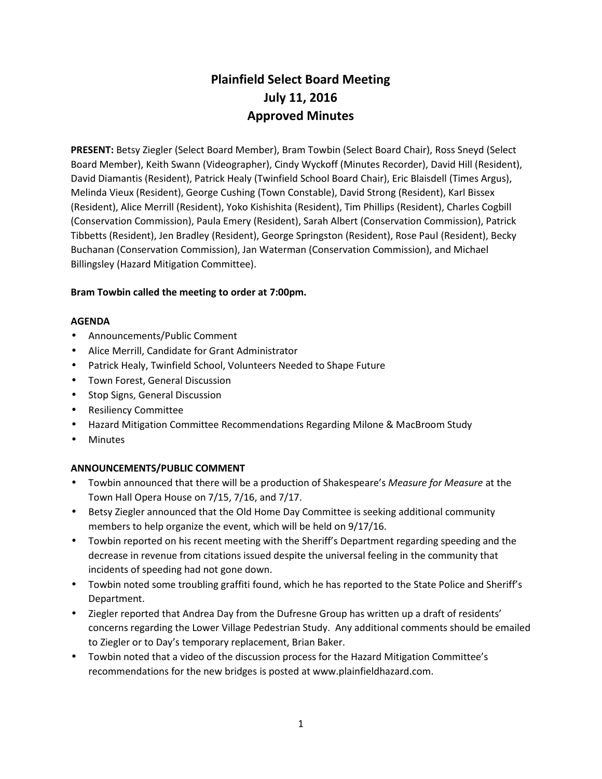# **Plainfield Select Board Meeting July 11, 2016 Approved Minutes**

**PRESENT:** Betsy Ziegler (Select Board Member), Bram Towbin (Select Board Chair), Ross Sneyd (Select Board Member), Keith Swann (Videographer), Cindy Wyckoff (Minutes Recorder), David Hill (Resident), David Diamantis (Resident), Patrick Healy (Twinfield School Board Chair), Eric Blaisdell (Times Argus), Melinda Vieux (Resident), George Cushing (Town Constable), David Strong (Resident), Karl Bissex (Resident), Alice Merrill (Resident), Yoko Kishishita (Resident), Tim Phillips (Resident), Charles Cogbill (Conservation Commission), Paula Emery (Resident), Sarah Albert (Conservation Commission), Patrick Tibbetts (Resident), Jen Bradley (Resident), George Springston (Resident), Rose Paul (Resident), Becky Buchanan (Conservation Commission), Jan Waterman (Conservation Commission), and Michael Billingsley (Hazard Mitigation Committee).

## **Bram Towbin called the meeting to order at 7:00pm.**

## **AGENDA**

- Announcements/Public Comment
- Alice Merrill, Candidate for Grant Administrator
- Patrick Healy, Twinfield School, Volunteers Needed to Shape Future
- Town Forest, General Discussion
- Stop Signs, General Discussion
- Resiliency Committee
- Hazard Mitigation Committee Recommendations Regarding Milone & MacBroom Study
- Minutes

## **ANNOUNCEMENTS/PUBLIC COMMENT**

- Towbin announced that there will be a production of Shakespeare's *Measure for Measure* at the Town Hall Opera House on 7/15, 7/16, and 7/17.
- Betsy Ziegler announced that the Old Home Day Committee is seeking additional community members to help organize the event, which will be held on 9/17/16.
- Towbin reported on his recent meeting with the Sheriff's Department regarding speeding and the decrease in revenue from citations issued despite the universal feeling in the community that incidents of speeding had not gone down.
- Towbin noted some troubling graffiti found, which he has reported to the State Police and Sheriff's Department.
- Ziegler reported that Andrea Day from the Dufresne Group has written up a draft of residents' concerns regarding the Lower Village Pedestrian Study. Any additional comments should be emailed to Ziegler or to Day's temporary replacement, Brian Baker.
- Towbin noted that a video of the discussion process for the Hazard Mitigation Committee's recommendations for the new bridges is posted at www.plainfieldhazard.com.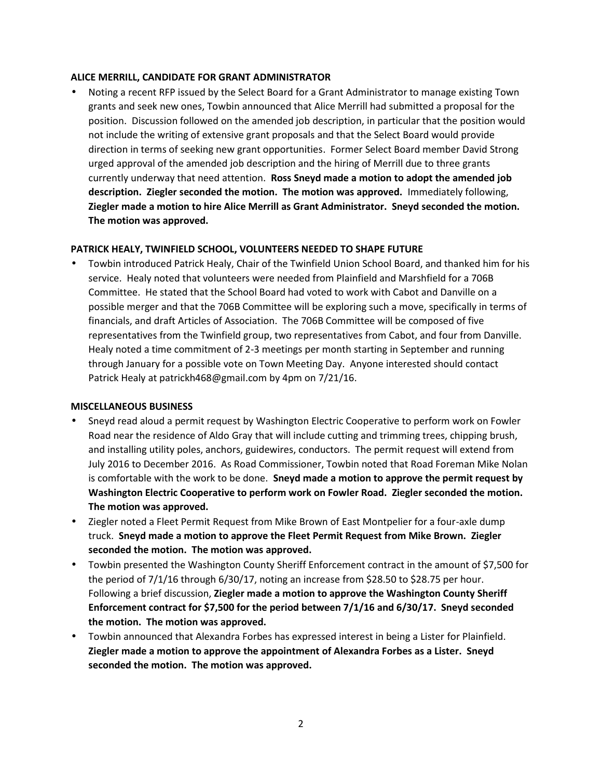## **ALICE MERRILL, CANDIDATE FOR GRANT ADMINISTRATOR**

 Noting a recent RFP issued by the Select Board for a Grant Administrator to manage existing Town grants and seek new ones, Towbin announced that Alice Merrill had submitted a proposal for the position. Discussion followed on the amended job description, in particular that the position would not include the writing of extensive grant proposals and that the Select Board would provide direction in terms of seeking new grant opportunities. Former Select Board member David Strong urged approval of the amended job description and the hiring of Merrill due to three grants currently underway that need attention. **Ross Sneyd made a motion to adopt the amended job description. Ziegler seconded the motion. The motion was approved.** Immediately following, **Ziegler made a motion to hire Alice Merrill as Grant Administrator. Sneyd seconded the motion. The motion was approved.**

## **PATRICK HEALY, TWINFIELD SCHOOL, VOLUNTEERS NEEDED TO SHAPE FUTURE**

 Towbin introduced Patrick Healy, Chair of the Twinfield Union School Board, and thanked him for his service. Healy noted that volunteers were needed from Plainfield and Marshfield for a 706B Committee. He stated that the School Board had voted to work with Cabot and Danville on a possible merger and that the 706B Committee will be exploring such a move, specifically in terms of financials, and draft Articles of Association. The 706B Committee will be composed of five representatives from the Twinfield group, two representatives from Cabot, and four from Danville. Healy noted a time commitment of 2-3 meetings per month starting in September and running through January for a possible vote on Town Meeting Day. Anyone interested should contact Patrick Healy at patrickh468@gmail.com by 4pm on 7/21/16.

#### **MISCELLANEOUS BUSINESS**

- Sneyd read aloud a permit request by Washington Electric Cooperative to perform work on Fowler Road near the residence of Aldo Gray that will include cutting and trimming trees, chipping brush, and installing utility poles, anchors, guidewires, conductors. The permit request will extend from July 2016 to December 2016. As Road Commissioner, Towbin noted that Road Foreman Mike Nolan is comfortable with the work to be done. **Sneyd made a motion to approve the permit request by Washington Electric Cooperative to perform work on Fowler Road. Ziegler seconded the motion. The motion was approved.**
- Ziegler noted a Fleet Permit Request from Mike Brown of East Montpelier for a four-axle dump truck. **Sneyd made a motion to approve the Fleet Permit Request from Mike Brown. Ziegler seconded the motion. The motion was approved.**
- Towbin presented the Washington County Sheriff Enforcement contract in the amount of \$7,500 for the period of 7/1/16 through 6/30/17, noting an increase from \$28.50 to \$28.75 per hour. Following a brief discussion, **Ziegler made a motion to approve the Washington County Sheriff Enforcement contract for \$7,500 for the period between 7/1/16 and 6/30/17. Sneyd seconded the motion. The motion was approved.**
- Towbin announced that Alexandra Forbes has expressed interest in being a Lister for Plainfield. **Ziegler made a motion to approve the appointment of Alexandra Forbes as a Lister. Sneyd seconded the motion. The motion was approved.**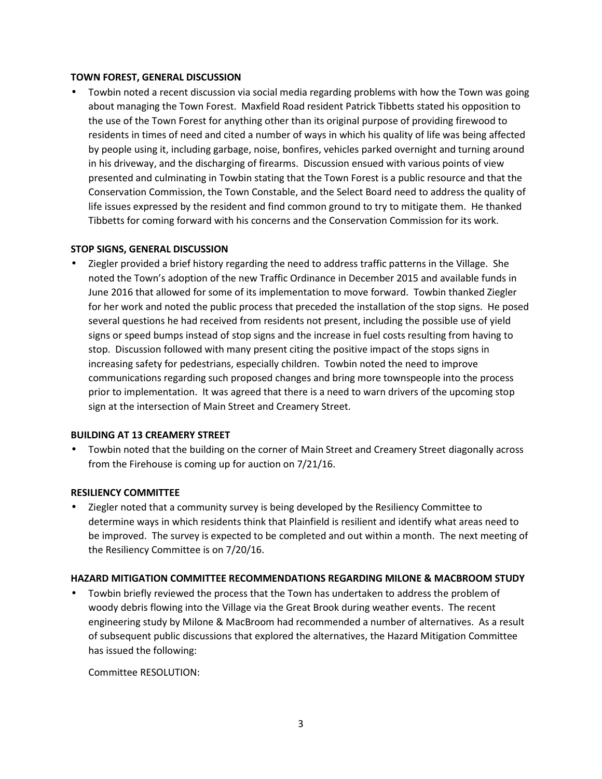#### **TOWN FOREST, GENERAL DISCUSSION**

 Towbin noted a recent discussion via social media regarding problems with how the Town was going about managing the Town Forest. Maxfield Road resident Patrick Tibbetts stated his opposition to the use of the Town Forest for anything other than its original purpose of providing firewood to residents in times of need and cited a number of ways in which his quality of life was being affected by people using it, including garbage, noise, bonfires, vehicles parked overnight and turning around in his driveway, and the discharging of firearms. Discussion ensued with various points of view presented and culminating in Towbin stating that the Town Forest is a public resource and that the Conservation Commission, the Town Constable, and the Select Board need to address the quality of life issues expressed by the resident and find common ground to try to mitigate them. He thanked Tibbetts for coming forward with his concerns and the Conservation Commission for its work.

## **STOP SIGNS, GENERAL DISCUSSION**

 Ziegler provided a brief history regarding the need to address traffic patterns in the Village. She noted the Town's adoption of the new Traffic Ordinance in December 2015 and available funds in June 2016 that allowed for some of its implementation to move forward. Towbin thanked Ziegler for her work and noted the public process that preceded the installation of the stop signs. He posed several questions he had received from residents not present, including the possible use of yield signs or speed bumps instead of stop signs and the increase in fuel costs resulting from having to stop. Discussion followed with many present citing the positive impact of the stops signs in increasing safety for pedestrians, especially children. Towbin noted the need to improve communications regarding such proposed changes and bring more townspeople into the process prior to implementation. It was agreed that there is a need to warn drivers of the upcoming stop sign at the intersection of Main Street and Creamery Street.

## **BUILDING AT 13 CREAMERY STREET**

 Towbin noted that the building on the corner of Main Street and Creamery Street diagonally across from the Firehouse is coming up for auction on 7/21/16.

#### **RESILIENCY COMMITTEE**

 Ziegler noted that a community survey is being developed by the Resiliency Committee to determine ways in which residents think that Plainfield is resilient and identify what areas need to be improved. The survey is expected to be completed and out within a month. The next meeting of the Resiliency Committee is on 7/20/16.

#### **HAZARD MITIGATION COMMITTEE RECOMMENDATIONS REGARDING MILONE & MACBROOM STUDY**

 Towbin briefly reviewed the process that the Town has undertaken to address the problem of woody debris flowing into the Village via the Great Brook during weather events. The recent engineering study by Milone & MacBroom had recommended a number of alternatives. As a result of subsequent public discussions that explored the alternatives, the Hazard Mitigation Committee has issued the following:

Committee RESOLUTION: